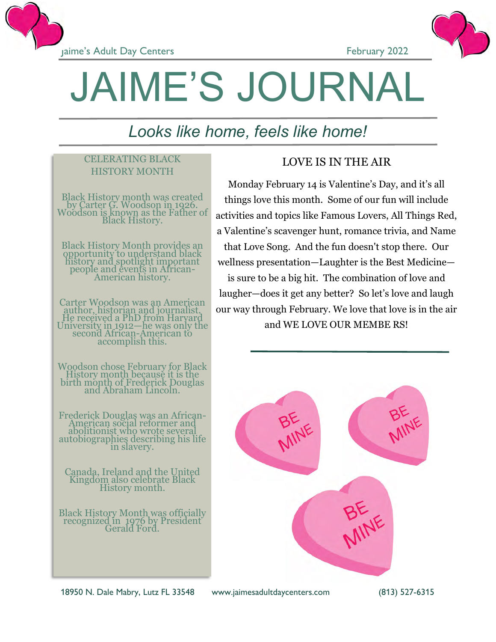





# JAIME'S JOURNAL

# *Looks like home, feels like home!*

### CELERATING BLACK HISTORY MONTH

Black History month was created by Carter G. Woodson in 1926. Woodson is known as the Father of Black History.

Black History Month provides an opportunity to understand black history and spotlight important people and events in African-American history.

Carter Woodson was an American author, historian and journalist. He received a PhD from Harvard University in 1912—he was only the second African-American to accomplish this.

Woodson chose February for Black History month because it is the birth month of Frederick Douglas and Abraham Lincoln.

Frederick Douglas was an African-American social reformer and abolitionist who wrote several autobiographies describing his life in slavery.

Canada, Ireland and the United Kingdom also celebrate Black History month.

Black History Month was officially recognized in 1976 by President Gerald Ford.

## LOVE IS IN THE AIR

Monday February 14 is Valentine's Day, and it's all things love this month. Some of our fun will include activities and topics like Famous Lovers, All Things Red, a Valentine's scavenger hunt, romance trivia, and Name that Love Song. And the fun doesn't stop there. Our wellness presentation—Laughter is the Best Medicine is sure to be a big hit. The combination of love and laugher—does it get any better? So let's love and laugh our way through February. We love that love is in the air and WE LOVE OUR MEMBE RS!



18950 N. Dale Mabry, Lutz FL 33548 www.jaimesadultdaycenters.com (813) 527-6315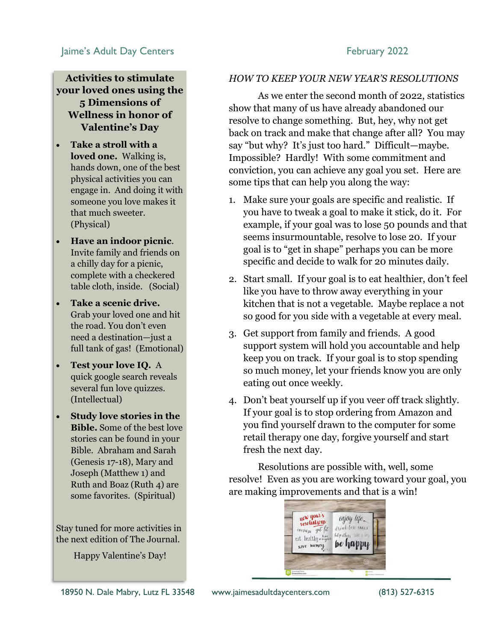### Jaime's Adult Day Centers February 2022

### **Activities to stimulate your loved ones using the 5 Dimensions of Wellness in honor of Valentine's Day**

- **Take a stroll with a loved one.** Walking is, hands down, one of the best physical activities you can engage in. And doing it with someone you love makes it that much sweeter. (Physical)
- **Have an indoor picnic**. Invite family and friends on a chilly day for a picnic, complete with a checkered table cloth, inside. (Social)
- **Take a scenic drive.**  Grab your loved one and hit the road. You don't even need a destination—just a full tank of gas! (Emotional)
- **Test your love IQ.** A quick google search reveals several fun love quizzes. (Intellectual)
- **Study love stories in the Bible.** Some of the best love stories can be found in your Bible. Abraham and Sarah (Genesis 17-18), Mary and Joseph (Matthew 1) and Ruth and Boaz (Ruth 4) are some favorites. (Spiritual)

Stay tuned for more activities in the next edition of The Journal.

Happy Valentine's Day!

### *HOW TO KEEP YOUR NEW YEAR'S RESOLUTIONS*

As we enter the second month of 2022, statistics show that many of us have already abandoned our resolve to change something. But, hey, why not get back on track and make that change after all? You may say "but why? It's just too hard." Difficult—maybe. Impossible? Hardly! With some commitment and conviction, you can achieve any goal you set. Here are some tips that can help you along the way:

- 1. Make sure your goals are specific and realistic. If you have to tweak a goal to make it stick, do it. For example, if your goal was to lose 50 pounds and that seems insurmountable, resolve to lose 20. If your goal is to "get in shape" perhaps you can be more specific and decide to walk for 20 minutes daily.
- 2. Start small. If your goal is to eat healthier, don't feel like you have to throw away everything in your kitchen that is not a vegetable. Maybe replace a not so good for you side with a vegetable at every meal.
- 3. Get support from family and friends. A good support system will hold you accountable and help keep you on track. If your goal is to stop spending so much money, let your friends know you are only eating out once weekly.
- 4. Don't beat yourself up if you veer off track slightly. If your goal is to stop ordering from Amazon and you find yourself drawn to the computer for some retail therapy one day, forgive yourself and start fresh the next day.

Resolutions are possible with, well, some resolve! Even as you are working toward your goal, you are making improvements and that is a win!

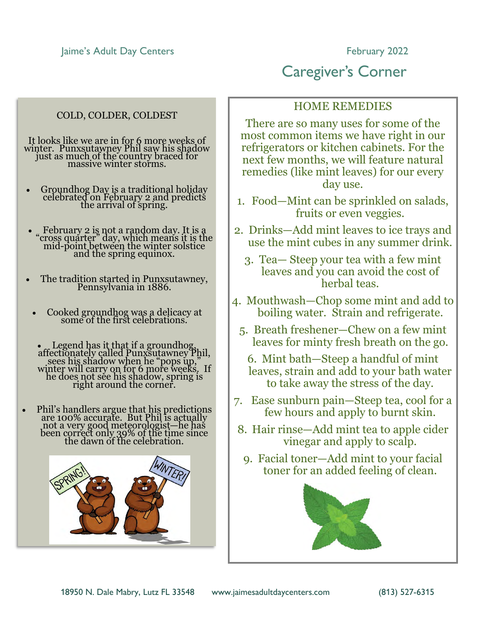Jaime's Adult Day Centers **February 2022** 

### COLD, COLDER, COLDEST

It looks like we are in for 6 more weeks of winter. Punxsutawney Phil saw his shadow just as much of the country braced for massive winter storms.

- Groundhog Day is a traditional holiday celebrated on February 2 and predicts the arrival of spring.
- February 2 is not a random day. It is a "cross quarter" day, which means it is the mid-point between the winter solstice and the spring equinox.
- The tradition started in Punxsutawney, Pennsylvania in 1886.
	- Cooked ground hog was a delicacy at some of the first celebrations.
	- $\epsilon$  Legend has it that if a groundhog, affectionately called Punxsutawney Phil, sees his shadow when he "pops up," winter will carry on for 6 more weeks. If he does not see his shadow, spring is right around the corner.
- Phil's handlers argue that his predictions are 100% accurate. But Phil is actually not a very good meteorologist—he has been correct only 39% of the time since the dawn of the celebration.



### HOME REMEDIES

Caregiver's Corner

There are so many uses for some of the most common items we have right in our refrigerators or kitchen cabinets. For the next few months, we will feature natural remedies (like mint leaves) for our every day use.

- 1. Food—Mint can be sprinkled on salads, fruits or even veggies.
- 2. Drinks—Add mint leaves to ice trays and use the mint cubes in any summer drink.
	- 3. Tea— Steep your tea with a few mint leaves and you can avoid the cost of herbal teas.
- 4. Mouthwash—Chop some mint and add to boiling water. Strain and refrigerate.
	- 5. Breath freshener—Chew on a few mint leaves for minty fresh breath on the go.
		- 6. Mint bath—Steep a handful of mint leaves, strain and add to your bath water to take away the stress of the day.
- 7. Ease sunburn pain—Steep tea, cool for a few hours and apply to burnt skin.
- 8. Hair rinse—Add mint tea to apple cider vinegar and apply to scalp.
	- 9. Facial toner—Add mint to your facial toner for an added feeling of clean.